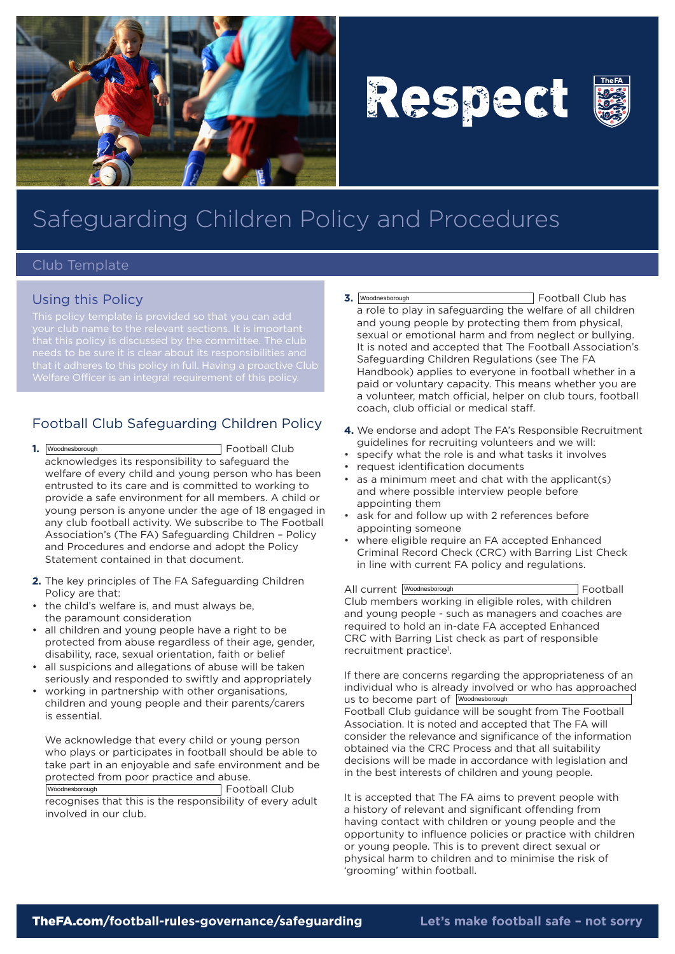

# Respect



## Safeguarding Children Policy and Procedures

#### Club Template

#### Using this Policy

that it adheres to this policy in full. Having a proactive Club

### Football Club Safeguarding Children Policy

- **1.** Football Club acknowledges its responsibility to safeguard the welfare of every child and young person who has been entrusted to its care and is committed to working to provide a safe environment for all members. A child or young person is anyone under the age of 18 engaged in any club football activity. We subscribe to The Football Association's (The FA) Safeguarding Children – Policy and Procedures and endorse and adopt the Policy Statement contained in that document. 1. Woodnesborough
- **2.** The key principles of The FA Safeguarding Children Policy are that:
- the child's welfare is, and must always be, the paramount consideration
- all children and young people have a right to be protected from abuse regardless of their age, gender, disability, race, sexual orientation, faith or belief
- all suspicions and allegations of abuse will be taken seriously and responded to swiftly and appropriately
- working in partnership with other organisations, children and young people and their parents/carers is essential.

We acknowledge that every child or young person who plays or participates in football should be able to take part in an enjoyable and safe environment and be protected from poor practice and abuse.

Woodnesborough **Example 2018** Football Club recognises that this is the responsibility of every adult involved in our club.

- **3.** Football Club has a role to play in safeguarding the welfare of all children and young people by protecting them from physical, sexual or emotional harm and from neglect or bullying. It is noted and accepted that The Football Association's Safeguarding Children Regulations (see The FA Handbook) applies to everyone in football whether in a paid or voluntary capacity. This means whether you are a volunteer, match official, helper on club tours, football coach, club official or medical staff. 3. Woodnesborough
- **4.** We endorse and adopt The FA's Responsible Recruitment guidelines for recruiting volunteers and we will:
- • specify what the role is and what tasks it involves
- • request identification documents
- • as a minimum meet and chat with the applicant(s) and where possible interview people before appointing them
- ask for and follow up with 2 references before appointing someone
- where eligible require an FA accepted Enhanced Criminal Record Check (CRC) with Barring List Check in line with current FA policy and regulations.

All current Woodnesborough **Example 20** Football Club members working in eligible roles, with children and young people - such as managers and coaches are required to hold an in-date FA accepted Enhanced CRC with Barring List check as part of responsible recruitment practice<sup>1</sup>.

If there are concerns regarding the appropriateness of an individual who is already involved or who has approached us to become part of Woodnesborough Football Club guidance will be sought from The Football Association. It is noted and accepted that The FA will consider the relevance and significance of the information obtained via the CRC Process and that all suitability decisions will be made in accordance with legislation and in the best interests of children and young people.

It is accepted that The FA aims to prevent people with a history of relevant and significant offending from having contact with children or young people and the opportunity to influence policies or practice with children or young people. This is to prevent direct sexual or physical harm to children and to minimise the risk of 'grooming' within football.